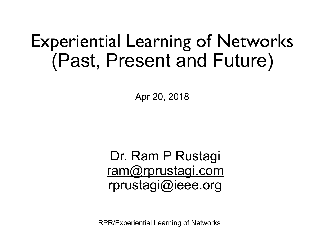## Experiential Learning of Networks (Past, Present and Future)

Apr 20, 2018

Dr. Ram P Rustagi [ram@rprustagi.com](mailto:ram@rprustagi.com) rprustagi@ieee.org

RPR/Experiential Learning of Networks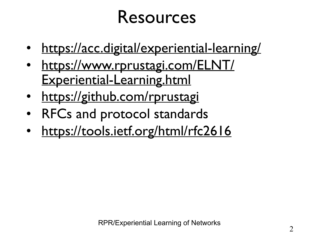### Resources

- <https://acc.digital/experiential-learning/>
- [https://www.rprustagi.com/ELNT/](https://www.rprustagi.com/ELNT/Experiential-Learning.html) [Experiential-Learning.html](https://www.rprustagi.com/ELNT/Experiential-Learning.html)
- <https://github.com/rprustagi>
- RFCs and protocol standards
- <https://tools.ietf.org/html/rfc2616>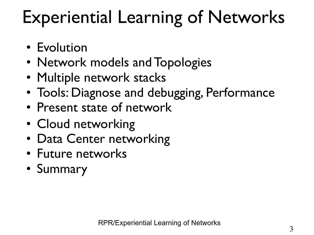# Experiential Learning of Networks

- Evolution
- Network models and Topologies
- Multiple network stacks
- Tools: Diagnose and debugging, Performance
- Present state of network
- Cloud networking
- Data Center networking
- Future networks
- Summary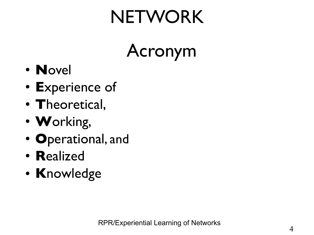# **NETWORK**

Acronym

- **N**ovel
- **E**xperience of
- **T**heoretical,
- **W**orking,
- **O**perational, and
- **R**ealized
- **K**nowledge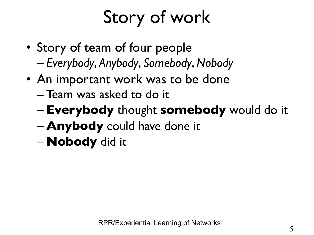# Story of work

- Story of team of four people – *Everybody*, *Anybody*, *Somebody*, *Nobody*
- An important work was to be done
	- **–** Team was asked to do it
	- **Everybody** thought **somebody** would do it
	- **Anybody** could have done it
	- **Nobody** did it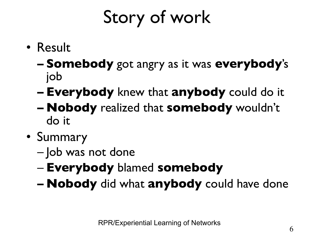# Story of work

- Result
	- **– Somebody** got angry as it was **everybody**'s job
	- **– Everybody** knew that **anybody** could do it
	- **– Nobody** realized that **somebody** wouldn't do it
- Summary
	- Job was not done
	- **Everybody** blamed **somebody**
	- **– Nobody** did what **anybody** could have done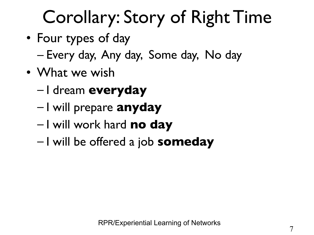# Corollary: Story of Right Time

- Four types of day – Every day, Any day, Some day, No day
- What we wish
	- I dream **everyday**
	- I will prepare **anyday**
	- I will work hard **no day**
	- I will be offered a job **someday**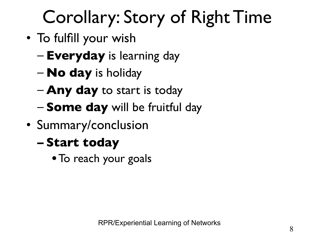# Corollary: Story of Right Time

- To fulfill your wish
	- **Everyday** is learning day
	- **No day** is holiday
	- **Any day** to start is today
	- **Some day** will be fruitful day
- Summary/conclusion
	- **– Start today** 
		- **•**To reach your goals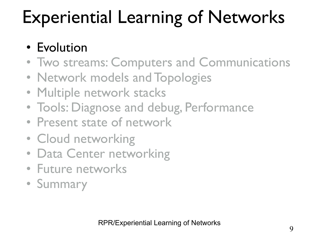# Experiential Learning of Networks

#### • Evolution

- Two streams: Computers and Communications
- Network models and Topologies
- Multiple network stacks
- Tools: Diagnose and debug, Performance
- Present state of network
- Cloud networking
- Data Center networking
- Future networks
- Summary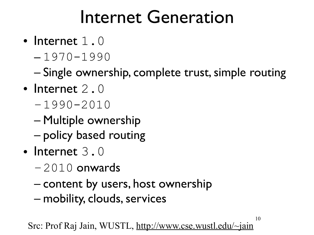## Internet Generation

- Internet  $1.0$ 
	- 1970-1990

– Single ownership, complete trust, simple routing

- Internet 2.0
	- –1990-2010
	- Multiple ownership
	- policy based routing
- $\bullet$  Internet 3.0
	- $-2010$  onwards
	- content by users, host ownership
	- mobility, clouds, services

10 Src: Prof Raj Jain, WUSTL,<http://www.cse.wustl.edu/~jain>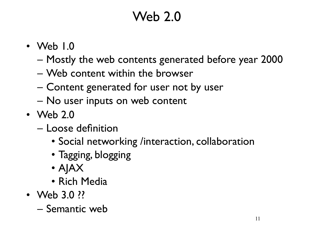#### Web 2.0

- Web 1.0
	- Mostly the web contents generated before year 2000
	- Web content within the browser
	- Content generated for user not by user
	- No user inputs on web content
- Web 2.0
	- Loose definition
		- Social networking /interaction, collaboration
		- Tagging, blogging
		- AJAX
		- Rich Media
- Web 3.0 ??
	- Semantic web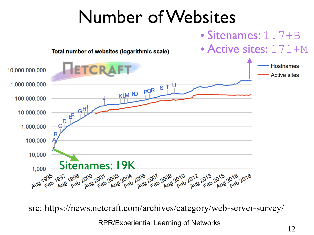## Number of Websites





RPR/Experiential Learning of Networks<br>
12 src: https://news.netcraft.com/archives/category/web-server-survey/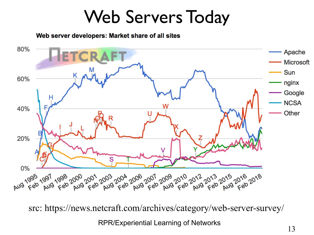### Web Servers Today

Web server developers: Market share of all sites



RPR/Experiential Learning of Networks<br>13 src: https://news.netcraft.com/archives/category/web-server-survey/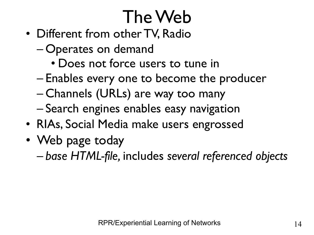# The Web

- Different from other TV, Radio
	- Operates on demand
		- Does not force users to tune in
	- Enables every one to become the producer
	- Channels (URLs) are way too many
	- Search engines enables easy navigation
- RIAs, Social Media make users engrossed
- Web page today

– *base HTML-file,* includes *several referenced objects*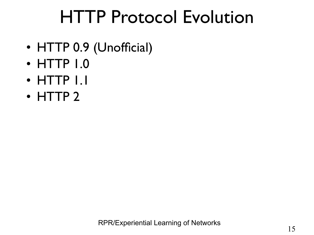## HTTP Protocol Evolution

- HTTP 0.9 (Unofficial)
- HTTP 1.0
- HTTP 1.1
- HTTP 2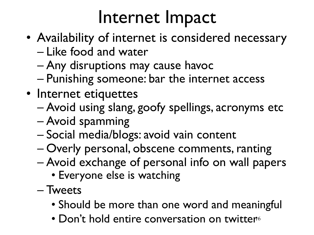## Internet Impact

- Availability of internet is considered necessary
	- Like food and water
	- Any disruptions may cause havoc
	- Punishing someone: bar the internet access
- Internet etiquettes
	- Avoid using slang, goofy spellings, acronyms etc
	- Avoid spamming
	- Social media/blogs: avoid vain content
	- Overly personal, obscene comments, ranting
	- Avoid exchange of personal info on wall papers
		- Everyone else is watching
	- Tweets
		- Should be more than one word and meaningful
		- Don't hold entire conversation on twitter<sup>6</sup>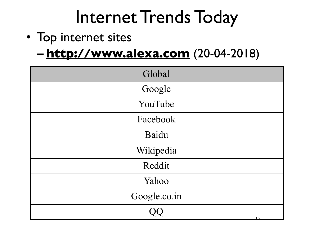## Internet Trends Today

- Top internet sites
	- **– <http://www.alexa.com>** (20-04-2018)

| Global       |
|--------------|
| Google       |
| YouTube      |
| Facebook     |
| Baidu        |
| Wikipedia    |
| Reddit       |
| Yahoo        |
| Google.co.in |
| 17           |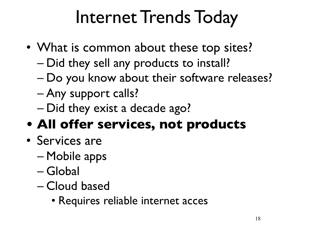# Internet Trends Today

- What is common about these top sites?
	- Did they sell any products to install?
	- Do you know about their software releases?
	- Any support calls?
	- Did they exist a decade ago?

#### **• All offer services, not products**

- Services are
	- Mobile apps
	- Global
	- Cloud based
		- Requires reliable internet acces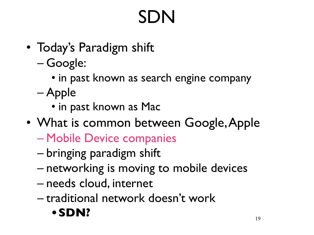# SDN

- Today's Paradigm shift
	- Google:
		- in past known as search engine company
	- Apple
		- in past known as Mac
- What is common between Google, Apple
	- Mobile Device companies
	- bringing paradigm shift
	- networking is moving to mobile devices
	- needs cloud, internet
	- traditional network doesn't work

#### **•SDN?**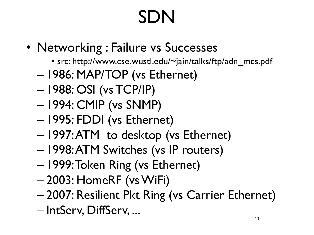# SDN

- Networking : Failure vs Successes
	- src: http://www.cse.wustl.edu/~jain/talks/ftp/adn\_mcs.pdf
	- 1986: MAP/TOP (vs Ethernet)
	- 1988: OSI (vs TCP/IP)
	- 1994: CMIP (vs SNMP)
	- 1995: FDDI (vs Ethernet)
	- 1997: ATM to desktop (vs Ethernet)
	- 1998: ATM Switches (vs IP routers)
	- 1999: Token Ring (vs Ethernet)
	- 2003: HomeRF (vs WiFi)
	- 2007: Resilient Pkt Ring (vs Carrier Ethernet)
	- IntServ, DiffServ, ...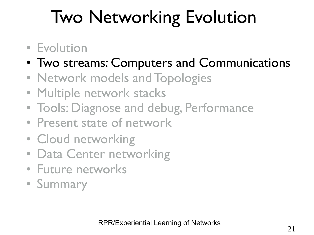# Two Networking Evolution

- Evolution
- Two streams: Computers and Communications
- Network models and Topologies
- Multiple network stacks
- Tools: Diagnose and debug, Performance
- Present state of network
- Cloud networking
- Data Center networking
- Future networks
- Summary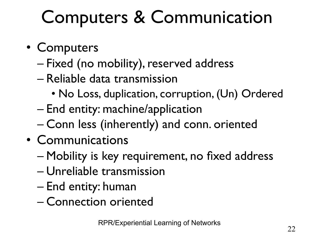# Computers & Communication

- Computers
	- Fixed (no mobility), reserved address
	- Reliable data transmission
		- No Loss, duplication, corruption, (Un) Ordered
	- End entity: machine/application
	- Conn less (inherently) and conn. oriented
- Communications
	- Mobility is key requirement, no fixed address
	- Unreliable transmission
	- End entity: human
	- Connection oriented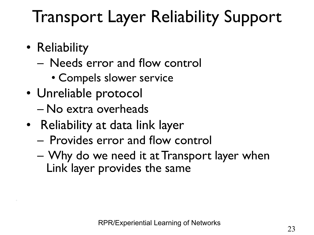## Transport Layer Reliability Support

• Reliability

\*

- Needs error and flow control
	- Compels slower service
- Unreliable protocol
	- No extra overheads
- Reliability at data link layer
	- Provides error and flow control
	- Why do we need it at Transport layer when Link layer provides the same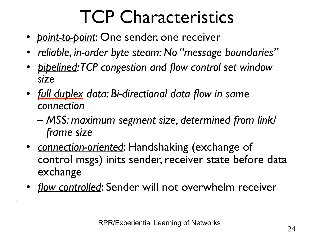# TCP Characteristics

- *point-to-point*: One sender, one receiver
- *reliable*, *in-order byte steam: No "message boundaries"*
- *pipelined: TCP congestion and flow control set window size*
- *full duplex data: Bi-directional data flow in same connection*
	- *MSS: maximum segment size, determined from link/ frame size*
- *connection-oriented*: Handshaking (exchange of control msgs) inits sender, receiver state before data exchange
- *flow controlled*: Sender will not overwhelm receiver

\*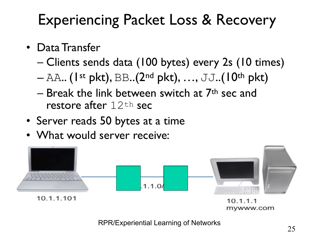### Experiencing Packet Loss & Recovery

- Data Transfer
	- Clients sends data (100 bytes) every 2s (10 times)
	- $-$  AA.. (1<sup>st</sup> pkt), BB..(2<sup>nd</sup> pkt), ..., JJ..(10<sup>th</sup> pkt)
	- $-$  Break the link between switch at  $7<sup>th</sup>$  sec and restore after  $12<sup>th</sup>$  sec
- Server reads 50 bytes at a time
- What would server receive:



<sup>25</sup> RPR/Experiential Learning of Networks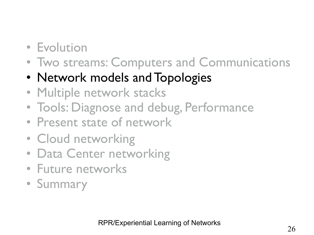- Evolution
- Two streams: Computers and Communications
- Network models and Topologies
- Multiple network stacks
- Tools: Diagnose and debug, Performance
- Present state of network
- Cloud networking
- Data Center networking
- Future networks
- Summary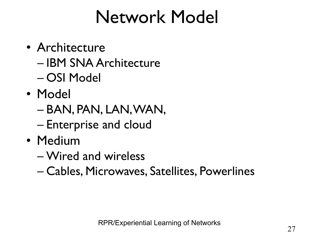## Network Model

- Architecture
	- IBM SNA Architecture
	- OSI Model
- Model
	- BAN, PAN, LAN, WAN,
	- Enterprise and cloud
- Medium
	- Wired and wireless
	- Cables, Microwaves, Satellites, Powerlines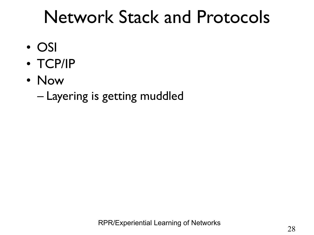## Network Stack and Protocols

- OSI
- TCP/IP
- Now
	- Layering is getting muddled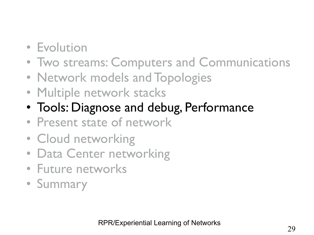- Evolution
- Two streams: Computers and Communications
- Network models and Topologies
- Multiple network stacks
- Tools: Diagnose and debug, Performance
- Present state of network
- Cloud networking
- Data Center networking
- Future networks
- Summary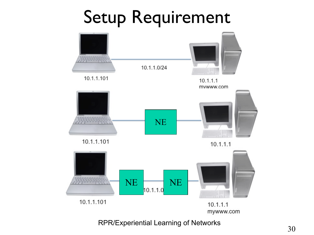## Setup Requirement



RPR/Experiential Learning of Networks<br>30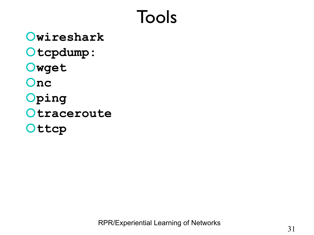## Tools

**wireshark tcpdump: wget nc ping Otraceroute** Ottcp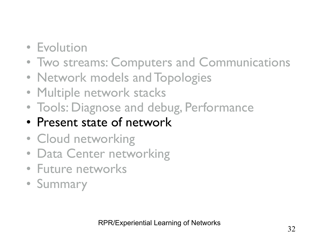- Evolution
- Two streams: Computers and Communications
- Network models and Topologies
- Multiple network stacks
- Tools: Diagnose and debug, Performance
- Present state of network
- Cloud networking
- Data Center networking
- Future networks
- Summary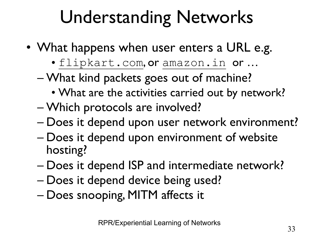# Understanding Networks

- What happens when user enters a URL e.g.
	- [flipkart.com](http://flipkart.com), or [amazon.in](http://amazon.in) or …
	- What kind packets goes out of machine?
		- What are the activities carried out by network?
	- Which protocols are involved?
	- Does it depend upon user network environment?
	- Does it depend upon environment of website hosting?
	- Does it depend ISP and intermediate network?
	- Does it depend device being used?
	- Does snooping, MITM affects it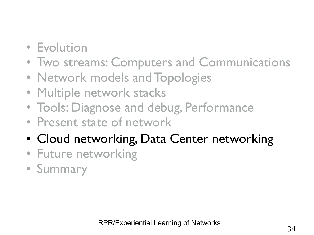- Evolution
- Two streams: Computers and Communications
- Network models and Topologies
- Multiple network stacks
- Tools: Diagnose and debug, Performance
- Present state of network
- Cloud networking, Data Center networking
- Future networking
- Summary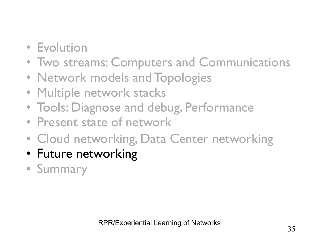- Evolution
- Two streams: Computers and Communications
- Network models and Topologies
- Multiple network stacks
- Tools: Diagnose and debug, Performance
- Present state of network
- Cloud networking, Data Center networking
- Future networking
- Summary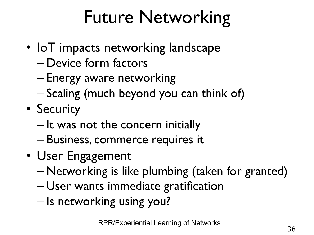# Future Networking

- IoT impacts networking landscape
	- Device form factors
	- Energy aware networking
	- Scaling (much beyond you can think of)
- Security
	- It was not the concern initially
	- Business, commerce requires it
- User Engagement
	- Networking is like plumbing (taken for granted)
	- User wants immediate gratification
	- Is networking using you?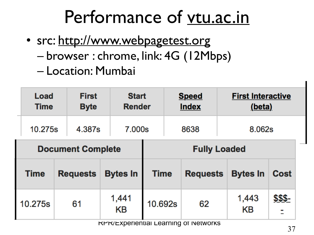## Performance of [vtu.ac.in](http://vtu.ac.in)

- src:<http://www.webpagetest.org>
	- browser : chrome, link: 4G (12Mbps)
	- Location: Mumbai

| Load<br><b>Time</b> | <b>First</b><br><b>Byte</b> | <b>Start</b><br><b>Render</b> |                     |             | <b>Speed</b><br><b>Index</b> | <b>First Interactive</b><br>(beta) |             |         |  |  |  |
|---------------------|-----------------------------|-------------------------------|---------------------|-------------|------------------------------|------------------------------------|-------------|---------|--|--|--|
| 10.275s             | 4.387s                      | 7.000s                        |                     |             | 8638                         |                                    | 8.062s      |         |  |  |  |
|                     | <b>Document Complete</b>    |                               | <b>Fully Loaded</b> |             |                              |                                    |             |         |  |  |  |
| <b>Time</b>         | <b>Requests</b>             | <b>Bytes In</b>               |                     | <b>Time</b> | <b>Requests</b>              | <b>Bytes In</b>                    |             | Cost    |  |  |  |
| 10.275s             | 61                          | 1,441<br><b>KB</b>            | 10.692s             |             | 62                           |                                    | 1,443<br>KB | \$\$\$- |  |  |  |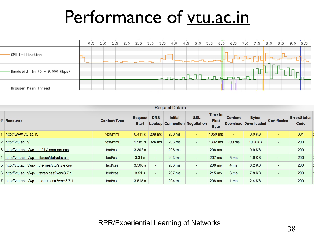### Performance of [vtu.ac.in](http://vtu.ac.in)

|                                 | 0.5 |  |  | 1.0 1.5 2.0 2.5 3.0 3.5 4.0 4.5 5.0 5.5 |  |             |             | 6.0 6.5 7.0 7.5 8.0 8.5 |  |                          | 9.0 9.5 |  |
|---------------------------------|-----|--|--|-----------------------------------------|--|-------------|-------------|-------------------------|--|--------------------------|---------|--|
| -CPU Utilization                |     |  |  |                                         |  |             | ╌╌╌╜        |                         |  | $\overline{\phantom{0}}$ |         |  |
| - Bandwidth In (0 - 9,000 Kbps) |     |  |  | حالجاته                                 |  | $\Box$<br>m | <b>ruti</b> | <b>LUTUL</b>            |  |                          |         |  |
| Browser Main Thread             |     |  |  |                                         |  |             |             |                         |  |                          |         |  |

| <b>Request Details</b> |                                            |                     |                                |                                                                      |        |                          |                                        |                 |                                     |                              |                             |  |  |
|------------------------|--------------------------------------------|---------------------|--------------------------------|----------------------------------------------------------------------|--------|--------------------------|----------------------------------------|-----------------|-------------------------------------|------------------------------|-----------------------------|--|--|
|                        | # Resource                                 | <b>Content Type</b> | <b>Request</b><br><b>Start</b> | <b>DNS</b><br><b>Initial</b><br><b>Lookup Connection Negotiation</b> |        | <b>SSL</b>               | Time to<br><b>First</b><br><b>Byte</b> | <b>Content</b>  | <b>Bytes</b><br>Download Downloaded | <b>Certificates</b>          | <b>Error/Status</b><br>Code |  |  |
|                        | http://www.vtu.ac.in/                      | text/html           | 0.411 s                        | 208 ms                                                               | 200 ms | $\sim$                   | 1050 ms                                | ٠               | 0.0 <sub>KB</sub>                   | ٠                            | 301                         |  |  |
|                        | 2 http://vtu.ac.in/                        | text/html           | 1.989 s                        | $324 \text{ ms}$                                                     | 203 ms | $\sim$                   | 1302 ms                                | $100$ ms        | 10.0 KB                             | $\qquad \qquad \blacksquare$ | 200                         |  |  |
|                        | 3 http://vtu.ac.in/wp-tu/lib/css/reset.css | text/css            | 3.302 s                        | $\overline{\phantom{0}}$                                             | 206 ms | $\overline{\phantom{0}}$ | 206 ms                                 | $\blacksquare$  | 0.9 <sub>KB</sub>                   | $\overline{\phantom{0}}$     | 200                         |  |  |
|                        | 4 http://vtu.ac.in/wp-lib/css/defaults.css | text/css            | 3.31 s                         | -                                                                    | 203 ms | $\overline{a}$           | 207 ms                                 | 5 <sub>ms</sub> | 1.9 KB                              | $\overline{\phantom{0}}$     | 200                         |  |  |
|                        | 5 http://vtu.ac.in/wp-themes/vtu/style.css | text/css            | 3.506 s                        | -                                                                    | 203 ms | $\blacksquare$           | 208 ms                                 | 4 ms            | 6.2 KB                              | ۰                            | 200                         |  |  |
|                        | 6 http://vtu.ac.in/wp-tstrap.css?ver=3.7.1 | text/css            | 3.51 s                         | ۰.                                                                   | 207 ms | $\sim$                   | 215 ms                                 | 6 ms            | 7.8 KB                              | $\overline{\phantom{a}}$     | 200                         |  |  |
|                        | 7 http://vtu.ac.in/wp-tcodes.css?ver=3.7.1 | text/css            | 3.515 s                        |                                                                      | 204 ms | $\overline{\phantom{0}}$ | 208 ms                                 | ms              | 2.4 KB                              | $\overline{\phantom{0}}$     | 200                         |  |  |

<sup>38</sup> RPR/Experiential Learning of Networks